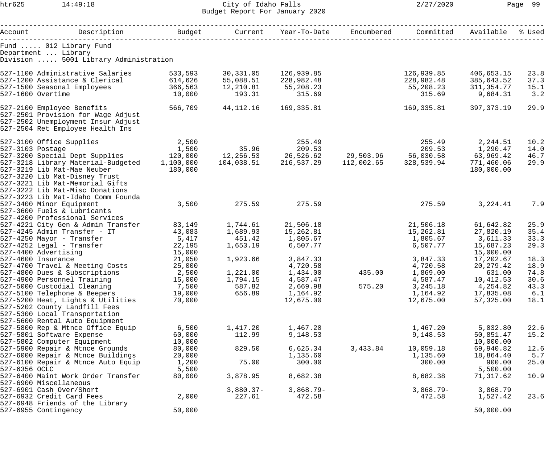htr625 14:49:18 City of Idaho Falls 2/27/2020 Page 99 Budget Report For January 2020

| Account     Description     Budget   Current Year-To-Date Encumbered |                 |                      |                                                       |          | Committed            | Available           | % Used       |
|----------------------------------------------------------------------|-----------------|----------------------|-------------------------------------------------------|----------|----------------------|---------------------|--------------|
|                                                                      |                 |                      |                                                       |          |                      |                     |              |
| Fund  012 Library Fund<br>Department  Library                        |                 |                      |                                                       |          |                      |                     |              |
| Division  5001 Library Administration                                |                 |                      |                                                       |          |                      |                     |              |
| 527-1100 Administrative Salaries                                     | 533,593         | 30,331.05            | 126,939.85                                            |          | 126,939.85           | 406,653.15          | 23.8         |
| 527-1200 Assistance & Clerical 614,626                               |                 | 55,088.51            | 228,982.48                                            |          | 228,982.48           | 385,643.52          | 37.3         |
| 527-1500 Seasonal Employees 366,563                                  |                 | 12,210.81            | 55,208.23                                             |          | 55,208.23            | 311,354.77          | 15.1         |
| 527-1600 Overtime                                                    | 10,000          | 193.31               | 315.69                                                |          | 315.69               | 9,684.31            | 3.2          |
| 527-2100 Employee Benefits 566,709                                   |                 | 44,112.16            | 169,335.81                                            |          | 169,335.81           | 397,373.19          | 29.9         |
| 527-2501 Provision for Wage Adjust                                   |                 |                      |                                                       |          |                      |                     |              |
| 527-2502 Unemployment Insur Adjust                                   |                 |                      |                                                       |          |                      |                     |              |
| 527-2504 Ret Employee Health Ins                                     |                 |                      |                                                       |          |                      |                     |              |
| 527-3100 Office Supplies                                             | 2,500           |                      | 255.49                                                |          | 255.49               | 2,244.51            | 10.2         |
|                                                                      | 1,500           | 35.96 209.53         |                                                       |          | 209.53               | 1,290.47            | 14.0         |
| 527-3103 Postage 1,500<br>527-3200 Special Dept Supplies 120,000     |                 |                      | 12,256.53  26,526.62  29,503.96  56,030.58  63,969.42 |          |                      |                     | 46.7         |
| 527-3218 Library Material-Budgeted 1,100,000                         |                 |                      | $104,038.51$ $216,537.29$ $112,002.65$ $328,539.94$   |          |                      | 771,460.06          | 29.9         |
| 527-3219 Lib Mat-Mae Neuber                                          | 180,000         |                      |                                                       |          |                      | 180,000.00          |              |
| 527-3220 Lib Mat-Disney Trust                                        |                 |                      |                                                       |          |                      |                     |              |
| 527-3221 Lib Mat-Memorial Gifts                                      |                 |                      |                                                       |          |                      |                     |              |
| 527-3222 Lib Mat-Misc Donations                                      |                 |                      |                                                       |          |                      |                     |              |
| 527-3223 Lib Mat-Idaho Comm Founda                                   |                 |                      |                                                       |          |                      |                     |              |
| 527-3400 Minor Equipment                                             | 3,500           | 275.59               | 275.59                                                |          | 275.59               | 3,224.41            | 7.9          |
| 527-3600 Fuels & Lubricants                                          |                 |                      |                                                       |          |                      |                     |              |
| 527-4200 Professional Services                                       |                 |                      |                                                       |          |                      |                     |              |
| 527-4221 City Gen & Admin Transfer                                   | 83,149          | 1,744.61             | 21,506.18                                             |          | 21,506.18            | 61,642.82           | 25.9         |
| 527-4245 Admin Transfer - IT                                         | 43,083          | 1,689.93             | 15,262.81                                             |          | 15,262.81            | 27,820.19           | 35.4         |
| 527-4250 Mayor - Transfer 5,417                                      |                 | 451.42               | 1,805.67                                              |          | 1,805.67 3,611.33    |                     | 33.3         |
| 527-4252 Legal - Transfer                                            | 22,195          | 1,653.19             | 6,507.77                                              |          | 6,507.77             | 15,687.23           | 29.3         |
| 527-4400 Advertising<br>527-4600 Insurance                           | 15,000          |                      |                                                       |          |                      | 15,000.00           |              |
|                                                                      | 21,050          | 1,923.66             | 3,847.33                                              |          | 3,847.33             | 17,202.67           | 18.3         |
| 527-4700 Travel & Meeting Costs                                      | 25,000<br>2,500 |                      | 4,720.58                                              |          | 4,720.58             | 20,279.42           | 18.9<br>74.8 |
| 527-4800 Dues & Subscriptions<br>527-4900 Personnel Training         | 15,000          | 1,221.00<br>1,794.15 | 1,434.00<br>4,587.47                                  | 435.00   | 1,869.00<br>4,587.47 | 631.00<br>10,412.53 | 30.6         |
| 527-5000 Custodial Cleaning                                          | 7,500           | 587.82               | 2,669.98                                              | 575.20   | 3,245.18             | 4,254.82            | 43.3         |
| 527-5100 Telephone & Beepers                                         | 19,000          | 656.89               | 1,164.92                                              |          | 1,164.92             | 17,835.08           | 6.1          |
| 527-5200 Heat, Lights & Utilities                                    | 70,000          |                      | 12,675.00                                             |          | 12,675.00            | 57,325.00           | 18.1         |
| 527-5202 County Landfill Fees                                        |                 |                      |                                                       |          |                      |                     |              |
| 527-5300 Local Transportation                                        |                 |                      |                                                       |          |                      |                     |              |
| 527-5600 Rental Auto Equipment                                       |                 |                      |                                                       |          |                      |                     |              |
| 527-5800 Rep & Mtnce Office Equip                                    | 6,500           | 1,417.20             | 1,467.20                                              |          | 1,467.20             | 5,032.80            | 22.6         |
| 527-5801 Software Expense                                            | 60,000          | 112.99               | 9,148.53                                              |          | 9,148.53             | 50,851.47           | 15.2         |
| 527-5802 Computer Equipment                                          | 10,000          |                      |                                                       |          |                      | 10,000.00           |              |
| 527-5900 Repair & Mtnce Grounds                                      | 80,000          | 829.50               | 6,625.34                                              | 3,433.84 | 10,059.18            | 69,940.82           | 12.6         |
| 527-6000 Repair & Mtnce Buildings                                    | 20,000          |                      | 1,135.60                                              |          | 1,135.60             | 18,864.40           | 5.7          |
| 527-6100 Repair & Mtnce Auto Equip                                   | 1,200           | 75.00                | 300.00                                                |          | 300.00               | 900.00              | 25.0         |
| 527-6356 OCLC                                                        | 5,500           |                      |                                                       |          |                      | 5,500.00            |              |
| 527-6400 Maint Work Order Transfer                                   | 80,000          | 3,878.95             | 8,682.38                                              |          | 8,682.38             | 71,317.62           | 10.9         |
| 527-6900 Miscellaneous                                               |                 |                      |                                                       |          |                      |                     |              |
| 527-6901 Cash Over/Short                                             |                 | $3,880.37-$          | $3,868.79-$                                           |          | $3,868.79-$          | 3,868.79            |              |
| 527-6932 Credit Card Fees                                            | 2,000           | 227.61               | 472.58                                                |          | 472.58               | 1,527.42            | 23.6         |
| 527-6948 Friends of the Library                                      |                 |                      |                                                       |          |                      |                     |              |
| 527-6955 Contingency                                                 | 50,000          |                      |                                                       |          |                      | 50,000.00           |              |
|                                                                      |                 |                      |                                                       |          |                      |                     |              |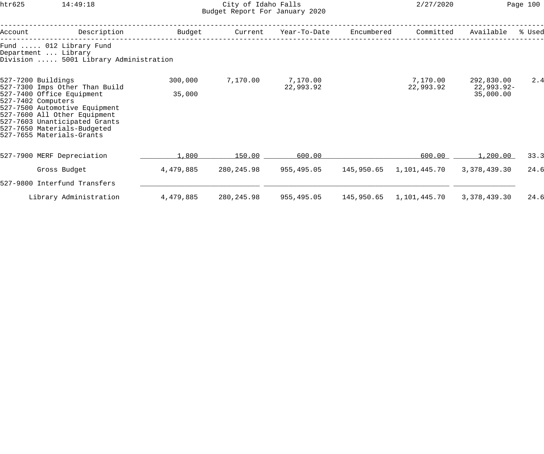## htr625 14:49:18 City of Idaho Falls 2/27/2020 Page 100 Budget Report For January 2020

| Account | Description                                                                                                                                                                                                                                                           | Budget            | Current    | Year-To-Date          | Encumbered | Committed             | Available                               | % Used |
|---------|-----------------------------------------------------------------------------------------------------------------------------------------------------------------------------------------------------------------------------------------------------------------------|-------------------|------------|-----------------------|------------|-----------------------|-----------------------------------------|--------|
|         | Fund  012 Library Fund<br>Department  Library<br>Division  5001 Library Administration                                                                                                                                                                                |                   |            |                       |            |                       |                                         |        |
|         | 527-7200 Buildings<br>527-7300 Imps Other Than Build<br>527-7400 Office Equipment<br>527-7402 Computers<br>527-7500 Automotive Equipment<br>527-7600 All Other Equipment<br>527-7603 Unanticipated Grants<br>527-7650 Materials-Budgeted<br>527-7655 Materials-Grants | 300,000<br>35,000 | 7,170.00   | 7,170.00<br>22,993.92 |            | 7,170.00<br>22,993.92 | 292,830.00<br>$22,993.92-$<br>35,000.00 | 2.4    |
|         | 527-7900 MERF Depreciation                                                                                                                                                                                                                                            | 1,800             | 150.00     | 600.00                |            | 600.00                | 1,200.00                                | 33.3   |
|         | Gross Budget                                                                                                                                                                                                                                                          | 4,479,885         | 280,245.98 | 955,495.05            |            |                       | 3,378,439.30                            | 24.6   |
|         | 527-9800 Interfund Transfers                                                                                                                                                                                                                                          |                   |            |                       |            |                       |                                         |        |
|         | Library Administration                                                                                                                                                                                                                                                | 4,479,885         | 280,245.98 | 955,495.05            | 145,950.65 | 1,101,445.70          | 3,378,439.30                            | 24.6   |
|         |                                                                                                                                                                                                                                                                       |                   |            |                       |            |                       |                                         |        |